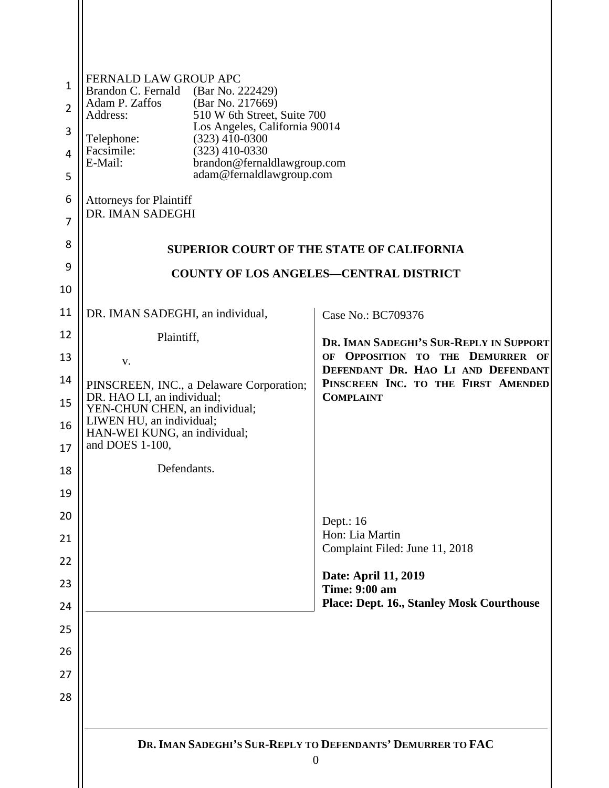| 1<br>$\overline{2}$<br>3<br>4<br>5<br>6<br>7 | FERNALD LAW GROUP APC<br>Brandon C. Fernald<br>(Bar No. 222429)<br>Adam P. Zaffos<br>(Bar No. 217669)<br>510 W 6th Street, Suite 700<br>Address:<br>Los Angeles, California 90014<br>$(323)$ 410-0300<br>Telephone:<br>Facsimile:<br>$(323)$ 410-0330<br>brandon@fernaldlawgroup.com<br>E-Mail:<br>adam@fernaldlawgroup.com<br><b>Attorneys for Plaintiff</b><br>DR. IMAN SADEGHI |                                                                                               |
|----------------------------------------------|-----------------------------------------------------------------------------------------------------------------------------------------------------------------------------------------------------------------------------------------------------------------------------------------------------------------------------------------------------------------------------------|-----------------------------------------------------------------------------------------------|
| 8                                            |                                                                                                                                                                                                                                                                                                                                                                                   | <b>SUPERIOR COURT OF THE STATE OF CALIFORNIA</b>                                              |
| 9                                            |                                                                                                                                                                                                                                                                                                                                                                                   | <b>COUNTY OF LOS ANGELES-CENTRAL DISTRICT</b>                                                 |
| 10                                           |                                                                                                                                                                                                                                                                                                                                                                                   |                                                                                               |
| 11                                           | DR. IMAN SADEGHI, an individual,                                                                                                                                                                                                                                                                                                                                                  | Case No.: BC709376                                                                            |
| 12                                           | Plaintiff,                                                                                                                                                                                                                                                                                                                                                                        | DR. IMAN SADEGHI'S SUR-REPLY IN SUPPORT<br>OF OPPOSITION TO THE DEMURRER OF                   |
| 13<br>14                                     | V.<br>PINSCREEN, INC., a Delaware Corporation;<br>DR. HAO LI, an individual;<br>YEN-CHUN CHEN, an individual;<br>LIWEN HU, an individual;<br>HAN-WEI KUNG, an individual;                                                                                                                                                                                                         | DEFENDANT DR. HAO LI AND DEFENDANT<br>PINSCREEN INC. TO THE FIRST AMENDED<br><b>COMPLAINT</b> |
| 15                                           |                                                                                                                                                                                                                                                                                                                                                                                   |                                                                                               |
| 16                                           |                                                                                                                                                                                                                                                                                                                                                                                   |                                                                                               |
| 17                                           | and DOES 1-100,                                                                                                                                                                                                                                                                                                                                                                   |                                                                                               |
| 18<br>19                                     | Defendants.                                                                                                                                                                                                                                                                                                                                                                       |                                                                                               |
| 20                                           |                                                                                                                                                                                                                                                                                                                                                                                   |                                                                                               |
| 21                                           |                                                                                                                                                                                                                                                                                                                                                                                   | Dept.: $16$<br>Hon: Lia Martin<br>Complaint Filed: June 11, 2018                              |
| 22                                           |                                                                                                                                                                                                                                                                                                                                                                                   |                                                                                               |
| 23                                           |                                                                                                                                                                                                                                                                                                                                                                                   | Date: April 11, 2019<br><b>Time: 9:00 am</b>                                                  |
| 24                                           |                                                                                                                                                                                                                                                                                                                                                                                   | <b>Place: Dept. 16., Stanley Mosk Courthouse</b>                                              |
| 25                                           |                                                                                                                                                                                                                                                                                                                                                                                   |                                                                                               |
| 26                                           |                                                                                                                                                                                                                                                                                                                                                                                   |                                                                                               |
| 27<br>28                                     |                                                                                                                                                                                                                                                                                                                                                                                   |                                                                                               |
|                                              |                                                                                                                                                                                                                                                                                                                                                                                   |                                                                                               |
|                                              |                                                                                                                                                                                                                                                                                                                                                                                   | DR. IMAN SADEGHI'S SUR-REPLY TO DEFENDANTS' DEMURRER TO FAC<br>$\overline{0}$                 |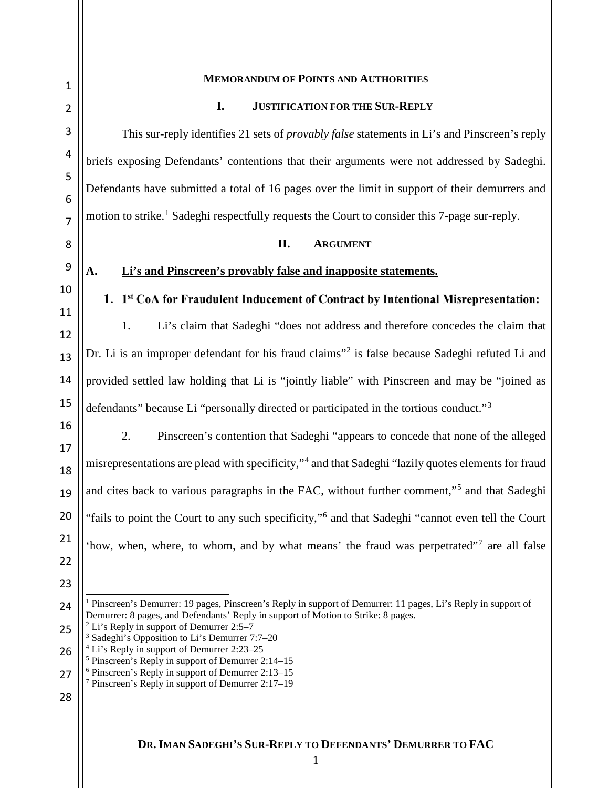<span id="page-1-6"></span><span id="page-1-5"></span><span id="page-1-4"></span><span id="page-1-3"></span><span id="page-1-2"></span><span id="page-1-1"></span><span id="page-1-0"></span>

| $\mathbf 1$    | <b>MEMORANDUM OF POINTS AND AUTHORITIES</b>                                                                                                                                                                                                                                                                            |  |
|----------------|------------------------------------------------------------------------------------------------------------------------------------------------------------------------------------------------------------------------------------------------------------------------------------------------------------------------|--|
| $\overline{2}$ | I.<br><b>JUSTIFICATION FOR THE SUR-REPLY</b>                                                                                                                                                                                                                                                                           |  |
| $\mathbf{3}$   | This sur-reply identifies 21 sets of <i>provably false</i> statements in Li's and Pinscreen's reply                                                                                                                                                                                                                    |  |
| 4              | briefs exposing Defendants' contentions that their arguments were not addressed by Sadeghi.                                                                                                                                                                                                                            |  |
| 5<br>6         | Defendants have submitted a total of 16 pages over the limit in support of their demurrers and                                                                                                                                                                                                                         |  |
| $\overline{7}$ | motion to strike. <sup>1</sup> Sadeghi respectfully requests the Court to consider this 7-page sur-reply.                                                                                                                                                                                                              |  |
| 8              | II.<br><b>ARGUMENT</b>                                                                                                                                                                                                                                                                                                 |  |
| 9              | Li's and Pinscreen's provably false and inapposite statements.<br>A.                                                                                                                                                                                                                                                   |  |
| 10             | 1. 1st CoA for Fraudulent Inducement of Contract by Intentional Misrepresentation:                                                                                                                                                                                                                                     |  |
| 11<br>12       | Li's claim that Sadeghi "does not address and therefore concedes the claim that<br>1.                                                                                                                                                                                                                                  |  |
| 13             | Dr. Li is an improper defendant for his fraud claims" <sup>2</sup> is false because Sadeghi refuted Li and                                                                                                                                                                                                             |  |
| 14             | provided settled law holding that Li is "jointly liable" with Pinscreen and may be "joined as                                                                                                                                                                                                                          |  |
| 15             | defendants" because Li "personally directed or participated in the tortious conduct." <sup>3</sup>                                                                                                                                                                                                                     |  |
| 16             | 2.<br>Pinscreen's contention that Sadeghi "appears to concede that none of the alleged                                                                                                                                                                                                                                 |  |
| 17<br>18       | misrepresentations are plead with specificity," <sup>4</sup> and that Sadeghi "lazily quotes elements for fraud                                                                                                                                                                                                        |  |
| 19             | and cites back to various paragraphs in the FAC, without further comment," <sup>5</sup> and that Sadeghi                                                                                                                                                                                                               |  |
| 20             | "fails to point the Court to any such specificity," <sup>6</sup> and that Sadeghi "cannot even tell the Court"                                                                                                                                                                                                         |  |
| 21             | 'how, when, where, to whom, and by what means' the fraud was perpetrated" <sup>7</sup> are all false                                                                                                                                                                                                                   |  |
| 22             |                                                                                                                                                                                                                                                                                                                        |  |
| 23             | <sup>1</sup> Pinscreen's Demurrer: 19 pages, Pinscreen's Reply in support of Demurrer: 11 pages, Li's Reply in support of                                                                                                                                                                                              |  |
| 24<br>25       | Demurrer: 8 pages, and Defendants' Reply in support of Motion to Strike: 8 pages.<br>$2$ Li's Reply in support of Demurrer 2:5–7                                                                                                                                                                                       |  |
| 26             | <sup>3</sup> Sadeghi's Opposition to Li's Demurrer 7:7-20<br><sup>4</sup> Li's Reply in support of Demurrer 2:23–25<br><sup>5</sup> Pinscreen's Reply in support of Demurrer 2:14–15<br><sup>6</sup> Pinscreen's Reply in support of Demurrer 2:13-15<br><sup>7</sup> Pinscreen's Reply in support of Demurrer 2:17-19 |  |
| 27             |                                                                                                                                                                                                                                                                                                                        |  |
| 28             |                                                                                                                                                                                                                                                                                                                        |  |

 $\mathbf{\mathsf{H}}$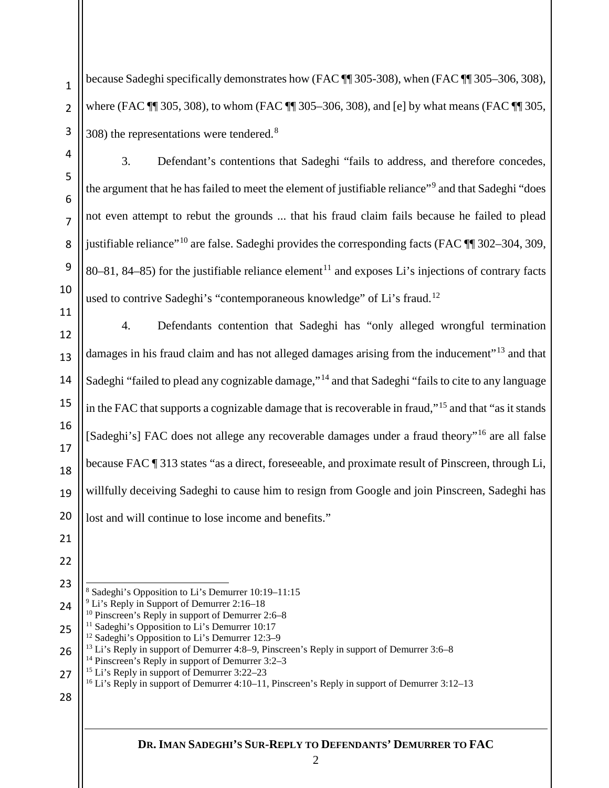because Sadeghi specifically demonstrates how (FAC ¶¶ 305-308), when (FAC ¶¶ 305–306, 308), where (FAC  $\P$  305, 308), to whom (FAC  $\P$  305–306, 308), and [e] by what means (FAC  $\P$  305, 308) the representations were tendered.[8](#page-2-0)

3. Defendant's contentions that Sadeghi "fails to address, and therefore concedes, the argument that he has failed to meet the element of justifiable reliance"[9](#page-2-1) and that Sadeghi "does not even attempt to rebut the grounds ... that his fraud claim fails because he failed to plead justifiable reliance"<sup>[10](#page-2-2)</sup> are false. Sadeghi provides the corresponding facts (FAC  $\P$   $\overline{=}$  302–304, 309, 80–81, 84–85) for the justifiable reliance element<sup>[11](#page-2-3)</sup> and exposes Li's injections of contrary facts used to contrive Sadeghi's "contemporaneous knowledge" of Li's fraud.<sup>[12](#page-2-4)</sup>

4. Defendants contention that Sadeghi has "only alleged wrongful termination damages in his fraud claim and has not alleged damages arising from the inducement"<sup>[13](#page-2-5)</sup> and that Sadeghi "failed to plead any cognizable damage,"<sup>[14](#page-2-6)</sup> and that Sadeghi "fails to cite to any language in the FAC that supports a cognizable damage that is recoverable in fraud,"[15](#page-2-7) and that "as it stands [Sadeghi's] FAC does not allege any recoverable damages under a fraud theory"<sup>[16](#page-2-8)</sup> are all false because FAC ¶ 313 states "as a direct, foreseeable, and proximate result of Pinscreen, through Li, willfully deceiving Sadeghi to cause him to resign from Google and join Pinscreen, Sadeghi has lost and will continue to lose income and benefits."

# <span id="page-2-8"></span><span id="page-2-7"></span><span id="page-2-6"></span>

 Sadeghi's Opposition to Li's Demurrer 10:19–11:15 Li's Reply in Support of Demurrer 2:16–18

<span id="page-2-3"></span><span id="page-2-2"></span><span id="page-2-1"></span><span id="page-2-0"></span><sup>&</sup>lt;sup>10</sup> Pinscreen's Reply in support of Demurrer 2:6–8<sup>11</sup> Sadeghi's Opposition to Li's Demurrer 10:17

Sadeghi's Opposition to Li's Demurrer 12:3–9

<span id="page-2-5"></span><span id="page-2-4"></span> Li's Reply in support of Demurrer 4:8–9, Pinscreen's Reply in support of Demurrer 3:6–8 Pinscreen's Reply in support of Demurrer 3:2–3

<sup>&</sup>lt;sup>15</sup> Li's Reply in support of Demurrer 3:22–23

<sup>&</sup>lt;sup>16</sup> Li's Reply in support of Demurrer 4:10–11, Pinscreen's Reply in support of Demurrer 3:12–13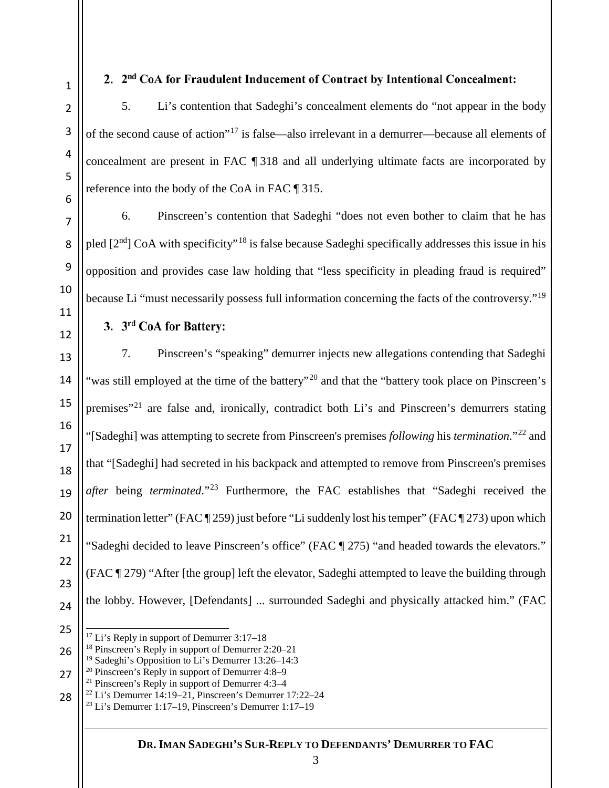## 2. 2<sup>nd</sup> CoA for Fraudulent Inducement of Contract by Intentional Concealment:

5. Li's contention that Sadeghi's concealment elements do "not appear in the body of the second cause of action"[17](#page-3-0) is false—also irrelevant in a demurrer—because all elements of concealment are present in FAC ¶ 318 and all underlying ultimate facts are incorporated by reference into the body of the CoA in FAC ¶ 315.

6. Pinscreen's contention that Sadeghi "does not even bother to claim that he has pled  $[2<sup>nd</sup>]$  CoA with specificity"<sup>[18](#page-3-1)</sup> is false because Sadeghi specifically addresses this issue in his opposition and provides case law holding that "less specificity in pleading fraud is required" because Li "must necessarily possess full information concerning the facts of the controversy."[19](#page-3-2)

3. 3rd CoA for Battery:

7. Pinscreen's "speaking" demurrer injects new allegations contending that Sadeghi "was still employed at the time of the battery"<sup>[20](#page-3-3)</sup> and that the "battery took place on Pinscreen's premises"<sup>[21](#page-3-4)</sup> are false and, ironically, contradict both Li's and Pinscreen's demurrers stating "[Sadeghi] was attempting to secrete from Pinscreen's premises *following* his *termination*."[22](#page-3-5) and that "[Sadeghi] had secreted in his backpack and attempted to remove from Pinscreen's premises *after* being *terminated*."[23](#page-3-6) Furthermore, the FAC establishes that "Sadeghi received the termination letter" (FAC ¶ 259) just before "Li suddenly lost his temper" (FAC ¶ 273) upon which "Sadeghi decided to leave Pinscreen's office" (FAC ¶ 275) "and headed towards the elevators." (FAC ¶ 279) "After [the group] left the elevator, Sadeghi attempted to leave the building through the lobby. However, [Defendants] ... surrounded Sadeghi and physically attacked him." (FAC

<span id="page-3-0"></span>

<sup>&</sup>lt;sup>17</sup> Li's Reply in support of Demurrer 3:17–18

Pinscreen's Reply in support of Demurrer 2:20–21

<span id="page-3-2"></span><span id="page-3-1"></span> Sadeghi's Opposition to Li's Demurrer 13:26–14:3

<span id="page-3-4"></span><span id="page-3-3"></span> Pinscreen's Reply in support of Demurrer 4:8–9

Pinscreen's Reply in support of Demurrer 4:3–4

<span id="page-3-6"></span><span id="page-3-5"></span> Li's Demurrer 14:19–21, Pinscreen's Demurrer 17:22–24

Li's Demurrer 1:17–19, Pinscreen's Demurrer 1:17–19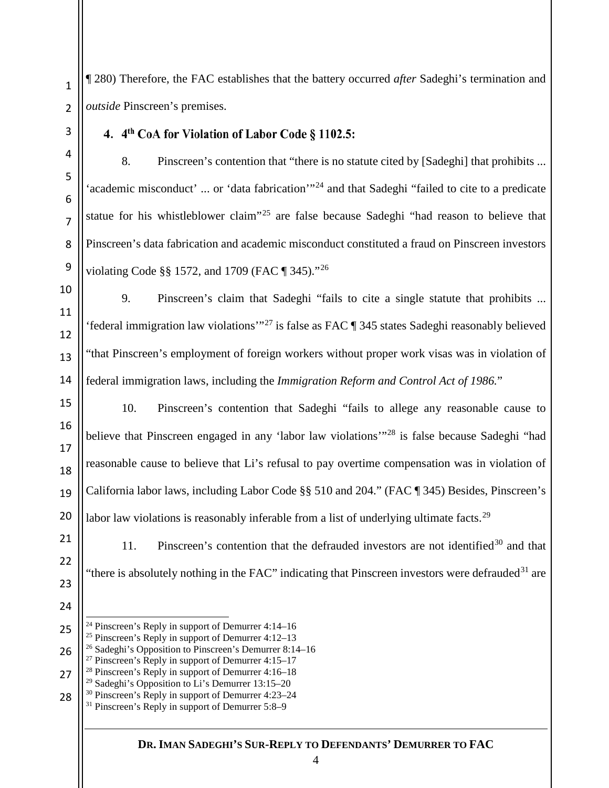¶ 280) Therefore, the FAC establishes that the battery occurred *after* Sadeghi's termination and *outside* Pinscreen's premises.

#### 4. 4th CoA for Violation of Labor Code § 1102.5:

8. Pinscreen's contention that "there is no statute cited by [Sadeghi] that prohibits ... 'academic misconduct' ... or 'data fabrication'<sup>1[24](#page-4-0)</sup> and that Sadeghi "failed to cite to a predicate statue for his whistleblower claim"<sup>[25](#page-4-1)</sup> are false because Sadeghi "had reason to believe that Pinscreen's data fabrication and academic misconduct constituted a fraud on Pinscreen investors violating Code §§ 1572, and 1709 (FAC ¶ 345)."[26](#page-4-2)

9. Pinscreen's claim that Sadeghi "fails to cite a single statute that prohibits ... 'federal immigration law violations'"[27](#page-4-3) is false as FAC ¶ 345 states Sadeghi reasonably believed "that Pinscreen's employment of foreign workers without proper work visas was in violation of federal immigration laws, including the *Immigration Reform and Control Act of 1986.*"

10. Pinscreen's contention that Sadeghi "fails to allege any reasonable cause to believe that Pinscreen engaged in any 'labor law violations'<sup>"[28](#page-4-4)</sup> is false because Sadeghi "had reasonable cause to believe that Li's refusal to pay overtime compensation was in violation of California labor laws, including Labor Code §§ 510 and 204." (FAC ¶ 345) Besides, Pinscreen's labor law violations is reasonably inferable from a list of underlying ultimate facts.<sup>[29](#page-4-5)</sup>

 11. Pinscreen's contention that the defrauded investors are not identified<sup>[30](#page-4-6)</sup> and that "there is absolutely nothing in the FAC" indicating that Pinscreen investors were defrauded<sup>[31](#page-4-7)</sup> are

- <sup>27</sup> Pinscreen's Reply in support of Demurrer  $4:15-17$
- <span id="page-4-5"></span><span id="page-4-4"></span><span id="page-4-3"></span> Pinscreen's Reply in support of Demurrer 4:16–18
	- <sup>29</sup> Sadeghi's Opposition to Li's Demurrer  $13:15-20$

<span id="page-4-1"></span><span id="page-4-0"></span> Pinscreen's Reply in support of Demurrer 4:14–16

Pinscreen's Reply in support of Demurrer 4:12–13

<span id="page-4-2"></span> Sadeghi's Opposition to Pinscreen's Demurrer 8:14–16

<span id="page-4-7"></span><span id="page-4-6"></span> Pinscreen's Reply in support of Demurrer 4:23–24

Pinscreen's Reply in support of Demurrer 5:8–9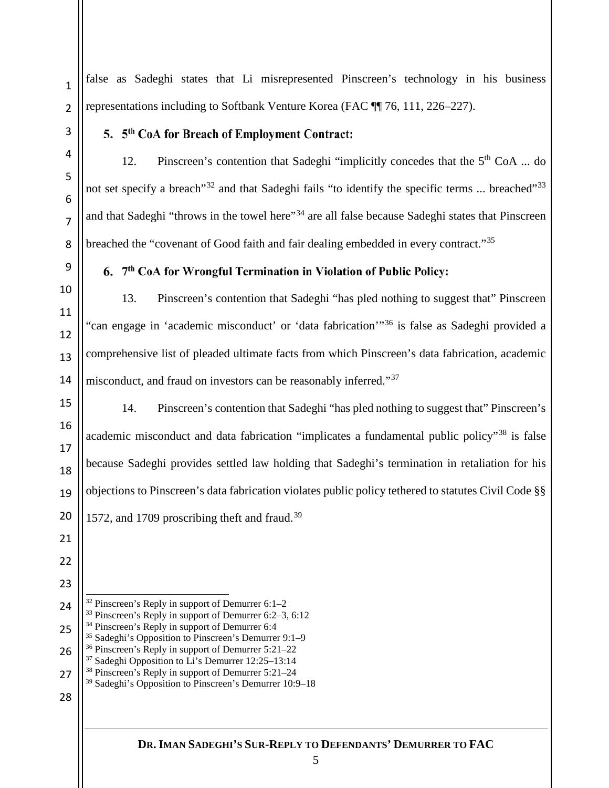false as Sadeghi states that Li misrepresented Pinscreen's technology in his business representations including to Softbank Venture Korea (FAC ¶¶ 76, 111, 226–227).

## 5. 5<sup>th</sup> CoA for Breach of Employment Contract:

12. Pinscreen's contention that Sadeghi "implicitly concedes that the  $5<sup>th</sup> CoA$  ... do not set specify a breach<sup>"[32](#page-5-0)</sup> and that Sadeghi fails "to identify the specific terms ... breached"<sup>[33](#page-5-1)</sup> and that Sadeghi "throws in the towel here"[34](#page-5-2) are all false because Sadeghi states that Pinscreen breached the "covenant of Good faith and fair dealing embedded in every contract."<sup>[35](#page-5-3)</sup>

# 6. 7th CoA for Wrongful Termination in Violation of Public Policy:

13. Pinscreen's contention that Sadeghi "has pled nothing to suggest that" Pinscreen "can engage in 'academic misconduct' or 'data fabrication'"[36](#page-5-4) is false as Sadeghi provided a comprehensive list of pleaded ultimate facts from which Pinscreen's data fabrication, academic misconduct, and fraud on investors can be reasonably inferred."<sup>[37](#page-5-5)</sup>

14. Pinscreen's contention that Sadeghi "has pled nothing to suggest that" Pinscreen's academic misconduct and data fabrication "implicates a fundamental public policy"<sup>[38](#page-5-6)</sup> is false because Sadeghi provides settled law holding that Sadeghi's termination in retaliation for his objections to Pinscreen's data fabrication violates public policy tethered to statutes Civil Code §§ 1572, and 1709 proscribing theft and fraud.<sup>[39](#page-5-7)</sup>

<span id="page-5-0"></span> 

<span id="page-5-3"></span><span id="page-5-2"></span><span id="page-5-1"></span>

<span id="page-5-5"></span><span id="page-5-4"></span>

- Pinscreen's Reply in support of Demurrer 6:1–2
- Pinscreen's Reply in support of Demurrer 6:2–3, 6:12
- <sup>34</sup> Pinscreen's Reply in support of Demurrer 6:4
- Sadeghi's Opposition to Pinscreen's Demurrer 9:1–9
- Pinscreen's Reply in support of Demurrer 5:21–22
- Sadeghi Opposition to Li's Demurrer 12:25–13:14 Pinscreen's Reply in support of Demurrer 5:21–24
- <span id="page-5-7"></span><span id="page-5-6"></span> Sadeghi's Opposition to Pinscreen's Demurrer 10:9–18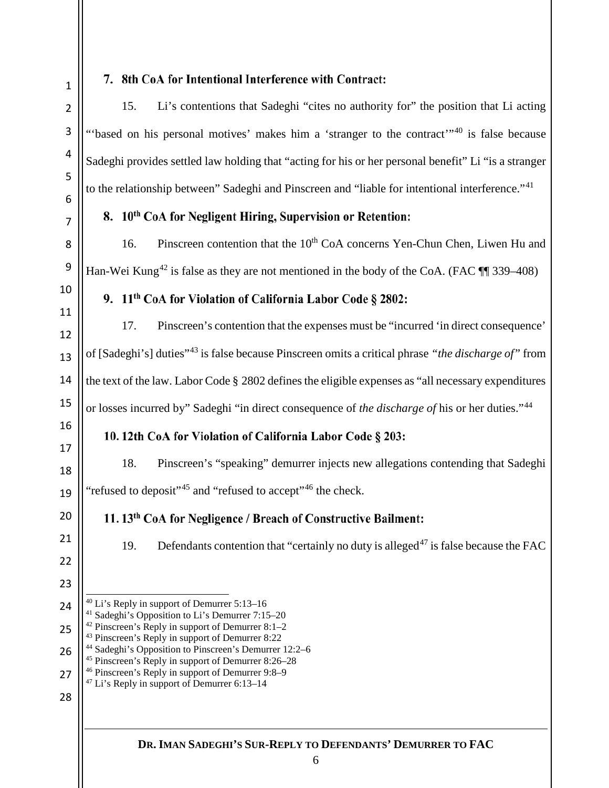<span id="page-6-1"></span><span id="page-6-0"></span>

#### 7. 8th CoA for Intentional Interference with Contract:

15. Li's contentions that Sadeghi "cites no authority for" the position that Li acting "based on his personal motives' makes him a 'stranger to the contract'<sup>"[40](#page-6-0)</sup> is false because Sadeghi provides settled law holding that "acting for his or her personal benefit" Li "is a stranger to the relationship between" Sadeghi and Pinscreen and "liable for intentional interference."[41](#page-6-1)

#### 8. 10<sup>th</sup> CoA for Negligent Hiring, Supervision or Retention:

16. Pinscreen contention that the  $10<sup>th</sup>$  CoA concerns Yen-Chun Chen, Liwen Hu and Han-Wei Kung<sup>[42](#page-6-2)</sup> is false as they are not mentioned in the body of the CoA. (FAC  $\P$  339–408)

9. 11<sup>th</sup> CoA for Violation of California Labor Code § 2802:

17. Pinscreen's contention that the expenses must be "incurred 'in direct consequence' of [Sadeghi's] duties"[43](#page-6-3) is false because Pinscreen omits a critical phrase *"the discharge of"* from the text of the law. Labor Code § 2802 defines the eligible expenses as "all necessary expenditures" or losses incurred by" Sadeghi "in direct consequence of *the discharge of* his or her duties."[44](#page-6-4)

## 10. 12th CoA for Violation of California Labor Code § 203:

18. Pinscreen's "speaking" demurrer injects new allegations contending that Sadeghi "refused to deposit"<sup>[45](#page-6-5)</sup> and "refused to accept"<sup>[46](#page-6-6)</sup> the check.

## 11. 13<sup>th</sup> CoA for Negligence / Breach of Constructive Bailment:

19. Defendants contention that "certainly no duty is alleged<sup>[47](#page-6-7)</sup> is false because the FAC

- Li's Reply in support of Demurrer 5:13–16
- Sadeghi's Opposition to Li's Demurrer 7:15–20
- <span id="page-6-2"></span> Pinscreen's Reply in support of Demurrer 8:1–2
	- Pinscreen's Reply in support of Demurrer 8:22
- <span id="page-6-4"></span><span id="page-6-3"></span> Sadeghi's Opposition to Pinscreen's Demurrer 12:2–6
	- Pinscreen's Reply in support of Demurrer 8:26–28
- <span id="page-6-6"></span><span id="page-6-5"></span> Pinscreen's Reply in support of Demurrer 9:8–9
- <span id="page-6-7"></span> Li's Reply in support of Demurrer 6:13–14